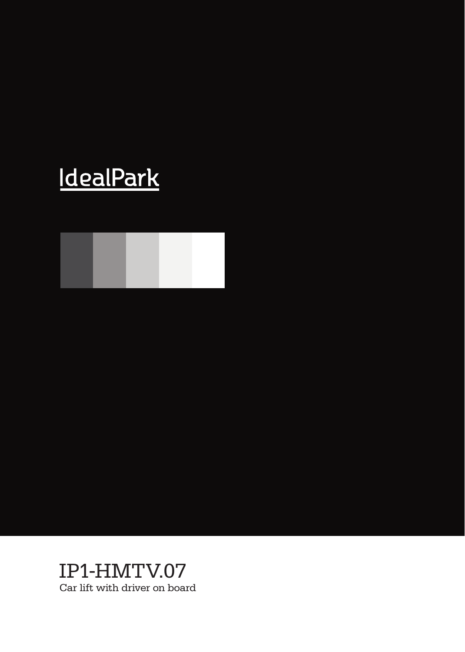# **IdealPark**



IP1-HMTV.07 Car lift with driver on board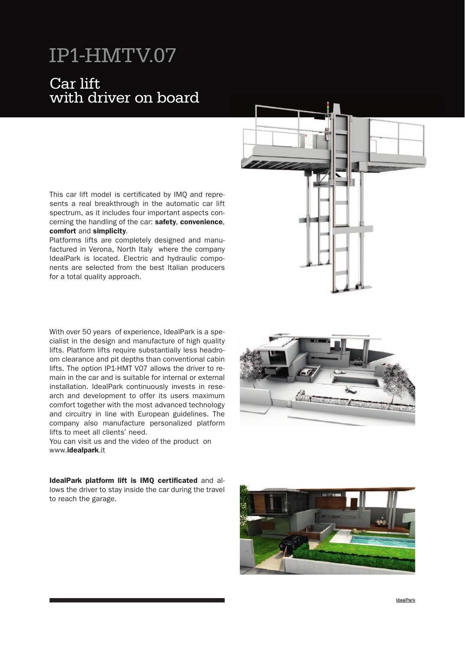### Car lift with driver on board

This car lift model is certificated by IMQ and represents a real breakthrough in the automatic car lift spectrum, as it includes four important aspects concerning the handling of the car: safety, convenience, comfort and simplicity.

Platforms lifts are completely designed and manufactured in Verona, North Italy where the company IdealPark is located. Electric and hydraulic components are selected from the best Italian producers for a total quality approach.

With over 50 years of experience, IdealPark is a specialist in the design and manufacture of high quality lifts. Platform lifts require substantially less headroom clearance and pit depths than conventional cabin lifts. The option IP1-HMT V07 allows the driver to remain in the car and is suitable for internal or external installation. IdealPark continuously invests in research and development to offer its users maximum comfort together with the most advanced technology and circuitry in line with European guidelines. The company also manufacture personalized platform lifts to meet all clients' need.

You can visit us and the video of the product on www.idealpark.it

IdealPark platform lift is IMQ certificated and allows the driver to stay inside the car during the travel to reach the garage.





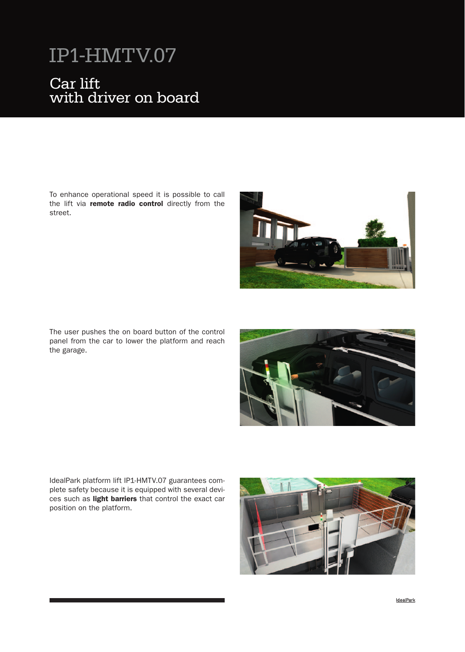#### Car lift with driver on boa Car lift with driver on board

To enhance operational speed it is possible to call the lift via remote radio control directly from the street.



The user pushes the on board button of the control panel from the car to lower the platform and reach the garage.



IdealPark platform lift IP1-HMTV.07 guarantees complete safety because it is equipped with several devices such as light barriers that control the exact car position on the platform.

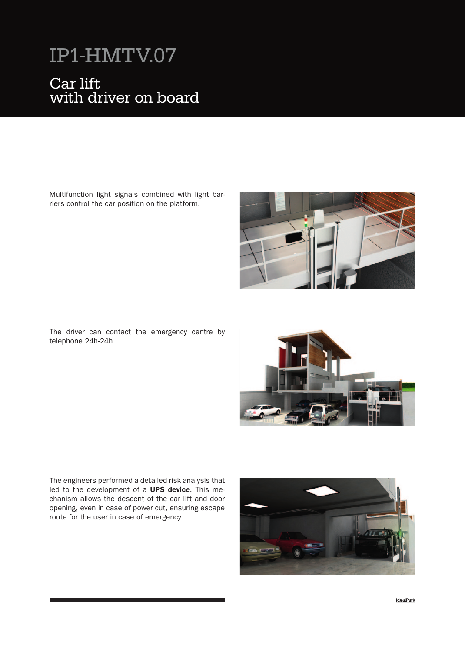#### Car lift with driver on boa Car lift with driver on board

Multifunction light signals combined with light barriers control the car position on the platform.



The driver can contact the emergency centre by telephone 24h-24h.



The engineers performed a detailed risk analysis that led to the development of a **UPS device**. This mechanism allows the descent of the car lift and door opening, even in case of power cut, ensuring escape route for the user in case of emergency.

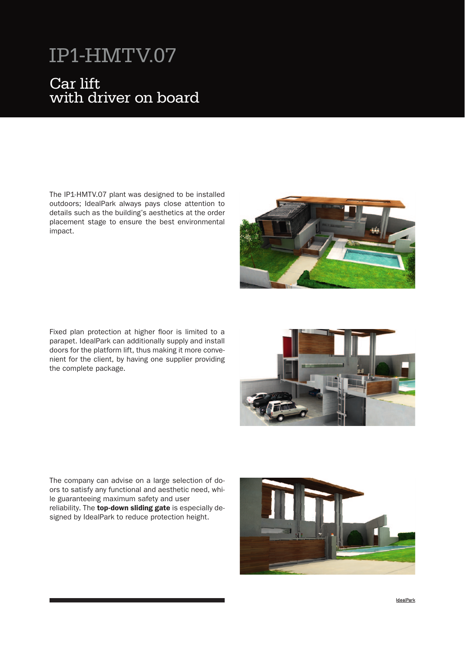### Car lift with driver on board

The IP1-HMTV.07 plant was designed to be installed outdoors; IdealPark always pays close attention to details such as the building's aesthetics at the order placement stage to ensure the best environmental impact.

Fixed plan protection at higher floor is limited to a parapet. IdealPark can additionally supply and install doors for the platform lift, thus making it more convenient for the client, by having one supplier providing the complete package.

The company can advise on a large selection of doors to satisfy any functional and aesthetic need, while guaranteeing maximum safety and user reliability. The **top-down sliding gate** is especially designed by IdealPark to reduce protection height.